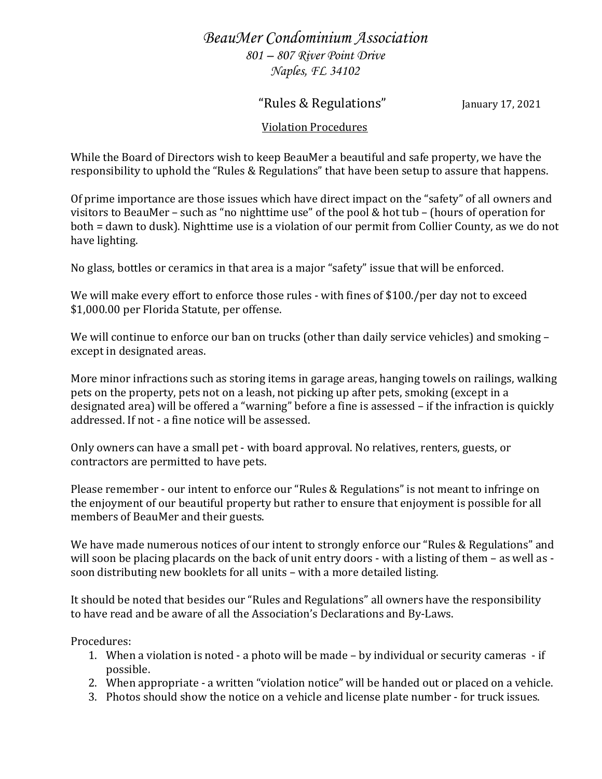## *BeauMer Condominium Association 801 – 807 River Point Drive Naples, FL 34102*

## "Rules & Regulations" January 17, 2021

## Violation Procedures

While the Board of Directors wish to keep BeauMer a beautiful and safe property, we have the responsibility to uphold the "Rules & Regulations" that have been setup to assure that happens.

Of prime importance are those issues which have direct impact on the "safety" of all owners and visitors to BeauMer – such as "no nighttime use" of the pool & hot tub – (hours of operation for both = dawn to dusk). Nighttime use is a violation of our permit from Collier County, as we do not have lighting.

No glass, bottles or ceramics in that area is a major "safety" issue that will be enforced.

We will make every effort to enforce those rules - with fines of \$100./per day not to exceed \$1,000.00 per Florida Statute, per offense.

We will continue to enforce our ban on trucks (other than daily service vehicles) and smoking – except in designated areas.

More minor infractions such as storing items in garage areas, hanging towels on railings, walking pets on the property, pets not on a leash, not picking up after pets, smoking (except in a designated area) will be offered a "warning" before a fine is assessed – if the infraction is quickly addressed. If not - a fine notice will be assessed.

Only owners can have a small pet - with board approval. No relatives, renters, guests, or contractors are permitted to have pets.

Please remember - our intent to enforce our "Rules & Regulations" is not meant to infringe on the enjoyment of our beautiful property but rather to ensure that enjoyment is possible for all members of BeauMer and their guests.

We have made numerous notices of our intent to strongly enforce our "Rules & Regulations" and will soon be placing placards on the back of unit entry doors - with a listing of them – as well as soon distributing new booklets for all units – with a more detailed listing.

It should be noted that besides our "Rules and Regulations" all owners have the responsibility to have read and be aware of all the Association's Declarations and By-Laws.

Procedures:

- 1. When a violation is noted a photo will be made by individual or security cameras if possible.
- 2. When appropriate a written "violation notice" will be handed out or placed on a vehicle.
- 3. Photos should show the notice on a vehicle and license plate number for truck issues.